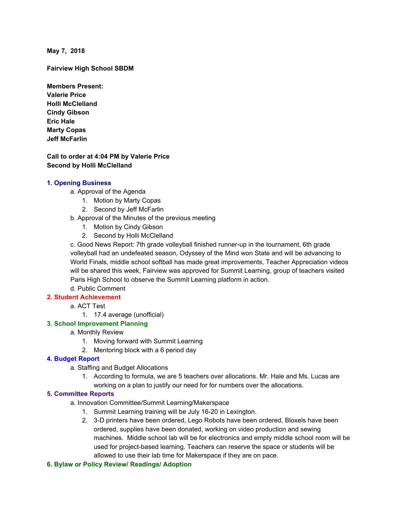**May 7, 2018**

**Fairview High School SBDM**

**Members Present: Valerie Price Holli McClelland Cindy Gibson Eric Hale Marty Copas Jeff McFarlin**

**Call to order at 4:04 PM by Valerie Price Second by Holli McClelland**

### **1. Opening Business**

- a. Approval of the Agenda
	- 1. Motion by Marty Copas
	- 2. Second by Jeff McFarlin
- b. Approval of the Minutes of the previous meeting
	- 1. Motion by Cindy Gibson
	- 2. Second by Holli McClelland

c. Good News Report: 7th grade volleyball finished runner-up in the tournament, 6th grade volleyball had an undefeated season, Odyssey of the Mind won State and will be advancing to World Finals, middle school softball has made great improvements, Teacher Appreciation videos will be shared this week, Fairview was approved for Summit Learning, group of teachers visited Paris High School to observe the Summit Learning platform in action.

d. Public Comment

# **2. Student Achievement**

- a. ACT Test
	- 1. 17.4 average (unofficial)

### **3. School Improvement Planning**

## a. Monthly Review

- 1. Moving forward with Summit Learning
- 2. Mentoring block with a 6 period day

### **4. Budget Report**

- a. Staffing and Budget Allocations
	- 1. According to formula, we are 5 teachers over allocations. Mr. Hale and Ms. Lucas are working on a plan to justify our need for for numbers over the allocations.

### **5. Committee Reports**

- a. Innovation Committee/Summit Learning/Makerspace
	- 1. Summit Learning training will be July 16-20 in Lexington.
	- 2. 3-D printers have been ordered, Lego Robots have been ordered, Bloxels have been ordered, supplies have been donated, working on video production and sewing machines. Middle school lab will be for electronics and empty middle school room will be used for project-based learning. Teachers can reserve the space or students will be allowed to use their lab time for Makerspace if they are on pace.
- **6. Bylaw or Policy Review/ Readings/ Adoption**